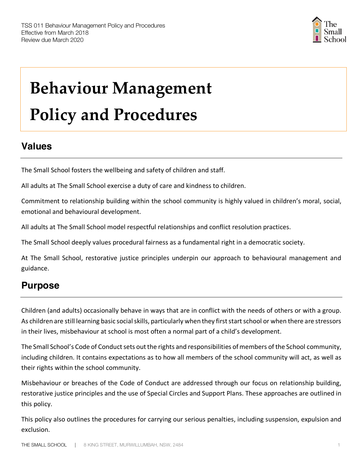

# **Behaviour Management Policy and Procedures**

## **Values**

The Small School fosters the wellbeing and safety of children and staff.

All adults at The Small School exercise a duty of care and kindness to children.

Commitment to relationship building within the school community is highly valued in children's moral, social, emotional and behavioural development.

All adults at The Small School model respectful relationships and conflict resolution practices.

The Small School deeply values procedural fairness as a fundamental right in a democratic society.

At The Small School, restorative justice principles underpin our approach to behavioural management and guidance.

# **Purpose**

Children (and adults) occasionally behave in ways that are in conflict with the needs of others or with a group. As children are still learning basic social skills, particularly when they first start school or when there are stressors in their lives, misbehaviour at school is most often a normal part of a child's development.

The Small School's Code of Conduct sets out the rights and responsibilities of members of the School community, including children. It contains expectations as to how all members of the school community will act, as well as their rights within the school community.

Misbehaviour or breaches of the Code of Conduct are addressed through our focus on relationship building, restorative justice principles and the use of Special Circles and Support Plans. These approaches are outlined in this policy.

This policy also outlines the procedures for carrying our serious penalties, including suspension, expulsion and exclusion.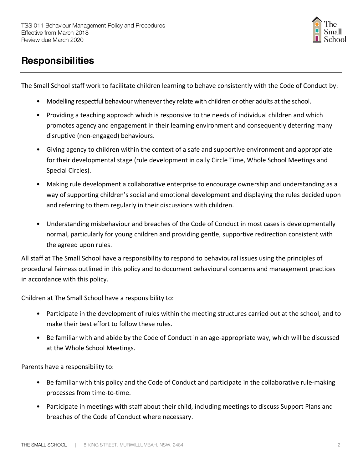

# **Responsibilities**

The Small School staff work to facilitate children learning to behave consistently with the Code of Conduct by:

- Modelling respectful behaviour whenever they relate with children or other adults at the school.
- Providing a teaching approach which is responsive to the needs of individual children and which promotes agency and engagement in their learning environment and consequently deterring many disruptive (non-engaged) behaviours.
- Giving agency to children within the context of a safe and supportive environment and appropriate for their developmental stage (rule development in daily Circle Time, Whole School Meetings and Special Circles).
- Making rule development a collaborative enterprise to encourage ownership and understanding as a way of supporting children's social and emotional development and displaying the rules decided upon and referring to them regularly in their discussions with children.
- Understanding misbehaviour and breaches of the Code of Conduct in most cases is developmentally normal, particularly for young children and providing gentle, supportive redirection consistent with the agreed upon rules.

All staff at The Small School have a responsibility to respond to behavioural issues using the principles of procedural fairness outlined in this policy and to document behavioural concerns and management practices in accordance with this policy.

Children at The Small School have a responsibility to:

- Participate in the development of rules within the meeting structures carried out at the school, and to make their best effort to follow these rules.
- Be familiar with and abide by the Code of Conduct in an age-appropriate way, which will be discussed at the Whole School Meetings.

Parents have a responsibility to:

- Be familiar with this policy and the Code of Conduct and participate in the collaborative rule-making processes from time-to-time.
- Participate in meetings with staff about their child, including meetings to discuss Support Plans and breaches of the Code of Conduct where necessary.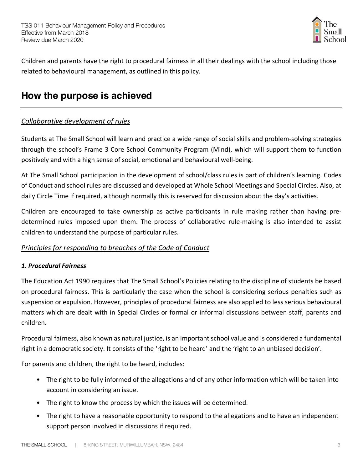

Children and parents have the right to procedural fairness in all their dealings with the school including those related to behavioural management, as outlined in this policy.

## **How the purpose is achieved**

#### *Collaborative development of rules*

Students at The Small School will learn and practice a wide range of social skills and problem-solving strategies through the school's Frame 3 Core School Community Program (Mind), which will support them to function positively and with a high sense of social, emotional and behavioural well-being.

At The Small School participation in the development of school/class rules is part of children's learning. Codes of Conduct and school rules are discussed and developed at Whole School Meetings and Special Circles. Also, at daily Circle Time if required, although normally this is reserved for discussion about the day's activities.

Children are encouraged to take ownership as active participants in rule making rather than having predetermined rules imposed upon them. The process of collaborative rule-making is also intended to assist children to understand the purpose of particular rules.

#### *Principles for responding to breaches of the Code of Conduct*

#### *1. Procedural Fairness*

The Education Act 1990 requires that The Small School's Policies relating to the discipline of students be based on procedural fairness. This is particularly the case when the school is considering serious penalties such as suspension or expulsion. However, principles of procedural fairness are also applied to less serious behavioural matters which are dealt with in Special Circles or formal or informal discussions between staff, parents and children.

Procedural fairness, also known as natural justice, is an important school value and is considered a fundamental right in a democratic society. It consists of the 'right to be heard' and the 'right to an unbiased decision'.

For parents and children, the right to be heard, includes:

- The right to be fully informed of the allegations and of any other information which will be taken into account in considering an issue.
- The right to know the process by which the issues will be determined.
- The right to have a reasonable opportunity to respond to the allegations and to have an independent support person involved in discussions if required.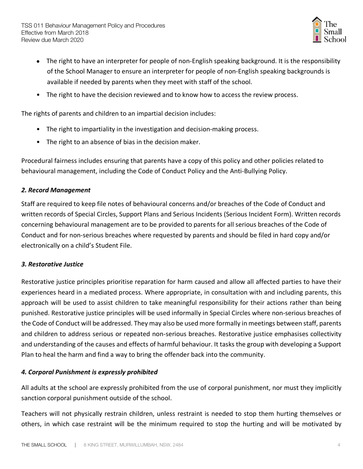

- The right to have an interpreter for people of non-English speaking background. It is the responsibility of the School Manager to ensure an interpreter for people of non-English speaking backgrounds is available if needed by parents when they meet with staff of the school.
- The right to have the decision reviewed and to know how to access the review process.

The rights of parents and children to an impartial decision includes:

- The right to impartiality in the investigation and decision-making process.
- The right to an absence of bias in the decision maker.

Procedural fairness includes ensuring that parents have a copy of this policy and other policies related to behavioural management, including the Code of Conduct Policy and the Anti-Bullying Policy.

#### *2. Record Management*

Staff are required to keep file notes of behavioural concerns and/or breaches of the Code of Conduct and written records of Special Circles, Support Plans and Serious Incidents (Serious Incident Form). Written records concerning behavioural management are to be provided to parents for all serious breaches of the Code of Conduct and for non-serious breaches where requested by parents and should be filed in hard copy and/or electronically on a child's Student File.

#### *3. Restorative Justice*

Restorative justice principles prioritise reparation for harm caused and allow all affected parties to have their experiences heard in a mediated process. Where appropriate, in consultation with and including parents, this approach will be used to assist children to take meaningful responsibility for their actions rather than being punished. Restorative justice principles will be used informally in Special Circles where non-serious breaches of the Code of Conduct will be addressed. They may also be used more formally in meetings between staff, parents and children to address serious or repeated non-serious breaches. Restorative justice emphasises collectivity and understanding of the causes and effects of harmful behaviour. It tasks the group with developing a Support Plan to heal the harm and find a way to bring the offender back into the community.

#### *4. Corporal Punishment is expressly prohibited*

All adults at the school are expressly prohibited from the use of corporal punishment, nor must they implicitly sanction corporal punishment outside of the school.

Teachers will not physically restrain children, unless restraint is needed to stop them hurting themselves or others, in which case restraint will be the minimum required to stop the hurting and will be motivated by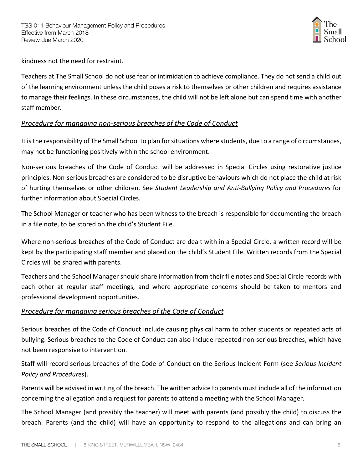

kindness not the need for restraint.

Teachers at The Small School do not use fear or intimidation to achieve compliance. They do not send a child out of the learning environment unless the child poses a risk to themselves or other children and requires assistance to manage their feelings. In these circumstances, the child will not be left alone but can spend time with another staff member.

#### *Procedure for managing non-serious breaches of the Code of Conduct*

It is the responsibility of The Small School to plan for situations where students, due to a range of circumstances, may not be functioning positively within the school environment.

Non-serious breaches of the Code of Conduct will be addressed in Special Circles using restorative justice principles. Non-serious breaches are considered to be disruptive behaviours which do not place the child at risk of hurting themselves or other children. See *Student Leadership and Anti-Bullying Policy and Procedures* for further information about Special Circles.

The School Manager or teacher who has been witness to the breach is responsible for documenting the breach in a file note, to be stored on the child's Student File.

Where non-serious breaches of the Code of Conduct are dealt with in a Special Circle, a written record will be kept by the participating staff member and placed on the child's Student File. Written records from the Special Circles will be shared with parents.

Teachers and the School Manager should share information from their file notes and Special Circle records with each other at regular staff meetings, and where appropriate concerns should be taken to mentors and professional development opportunities.

#### *Procedure for managing serious breaches of the Code of Conduct*

Serious breaches of the Code of Conduct include causing physical harm to other students or repeated acts of bullying. Serious breaches to the Code of Conduct can also include repeated non-serious breaches, which have not been responsive to intervention.

Staff will record serious breaches of the Code of Conduct on the Serious Incident Form (see *Serious Incident Policy and Procedures*).

Parents will be advised in writing of the breach. The written advice to parents must include all of the information concerning the allegation and a request for parents to attend a meeting with the School Manager.

The School Manager (and possibly the teacher) will meet with parents (and possibly the child) to discuss the breach. Parents (and the child) will have an opportunity to respond to the allegations and can bring an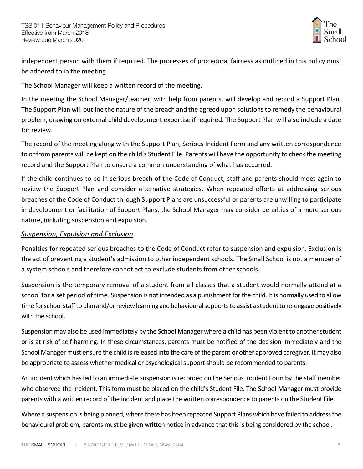

independent person with them if required. The processes of procedural fairness as outlined in this policy must be adhered to in the meeting.

The School Manager will keep a written record of the meeting.

In the meeting the School Manager/teacher, with help from parents, will develop and record a Support Plan. The Support Plan will outline the nature of the breach and the agreed upon solutions to remedy the behavioural problem, drawing on external child development expertise if required. The Support Plan will also include a date for review.

The record of the meeting along with the Support Plan, Serious Incident Form and any written correspondence to or from parents will be kept on the child's Student File. Parents will have the opportunity to check the meeting record and the Support Plan to ensure a common understanding of what has occurred.

If the child continues to be in serious breach of the Code of Conduct, staff and parents should meet again to review the Support Plan and consider alternative strategies. When repeated efforts at addressing serious breaches of the Code of Conduct through Support Plans are unsuccessful or parents are unwilling to participate in development or facilitation of Support Plans, the School Manager may consider penalties of a more serious nature, including suspension and expulsion.

#### *Suspension, Expulsion and Exclusion*

Penalties for repeated serious breaches to the Code of Conduct refer to suspension and expulsion. Exclusion is the act of preventing a student's admission to other independent schools. The Small School is not a member of a system schools and therefore cannot act to exclude students from other schools.

Suspension is the temporary removal of a student from all classes that a student would normally attend at a school for a set period of time. Suspension is not intended as a punishment for the child. It is normally used to allow time for school staff to plan and/or review learning and behavioural supports to assist a student to re-engage positively with the school.

Suspension may also be used immediately by the School Manager where a child has been violent to another student or is at risk of self-harming. In these circumstances, parents must be notified of the decision immediately and the School Manager must ensure the child is released into the care of the parent or other approved caregiver. It may also be appropriate to assess whether medical or psychological support should be recommended to parents.

An incident which has led to an immediate suspension is recorded on the Serious Incident Form by the staff member who observed the incident. This form must be placed on the child's Student File. The School Manager must provide parents with a written record of the incident and place the written correspondence to parents on the Student File.

Where a suspension is being planned, where there has been repeated Support Plans which have failed to address the behavioural problem, parents must be given written notice in advance that this is being considered by the school.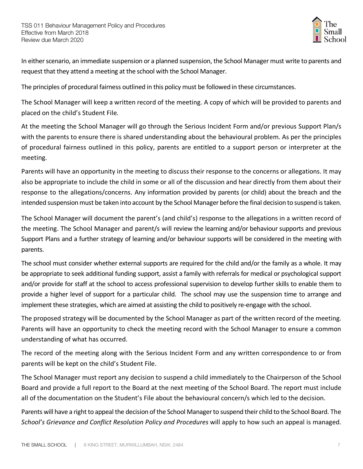

In either scenario, an immediate suspension or a planned suspension, the School Manager must write to parents and request that they attend a meeting at the school with the School Manager.

The principles of procedural fairness outlined in this policy must be followed in these circumstances.

The School Manager will keep a written record of the meeting. A copy of which will be provided to parents and placed on the child's Student File.

At the meeting the School Manager will go through the Serious Incident Form and/or previous Support Plan/s with the parents to ensure there is shared understanding about the behavioural problem. As per the principles of procedural fairness outlined in this policy, parents are entitled to a support person or interpreter at the meeting.

Parents will have an opportunity in the meeting to discuss their response to the concerns or allegations. It may also be appropriate to include the child in some or all of the discussion and hear directly from them about their response to the allegations/concerns. Any information provided by parents (or child) about the breach and the intended suspension must be taken into account by the School Manager before the final decision to suspend is taken.

The School Manager will document the parent's (and child's) response to the allegations in a written record of the meeting. The School Manager and parent/s will review the learning and/or behaviour supports and previous Support Plans and a further strategy of learning and/or behaviour supports will be considered in the meeting with parents.

The school must consider whether external supports are required for the child and/or the family as a whole. It may be appropriate to seek additional funding support, assist a family with referrals for medical or psychological support and/or provide for staff at the school to access professional supervision to develop further skills to enable them to provide a higher level of support for a particular child. The school may use the suspension time to arrange and implement these strategies, which are aimed at assisting the child to positively re-engage with the school.

The proposed strategy will be documented by the School Manager as part of the written record of the meeting. Parents will have an opportunity to check the meeting record with the School Manager to ensure a common understanding of what has occurred.

The record of the meeting along with the Serious Incident Form and any written correspondence to or from parents will be kept on the child's Student File.

The School Manager must report any decision to suspend a child immediately to the Chairperson of the School Board and provide a full report to the Board at the next meeting of the School Board. The report must include all of the documentation on the Student's File about the behavioural concern/s which led to the decision.

Parents will have a right to appeal the decision of the School Manager to suspend their child to the School Board. The *School's Grievance and Conflict Resolution Policy and Procedures* will apply to how such an appeal is managed.